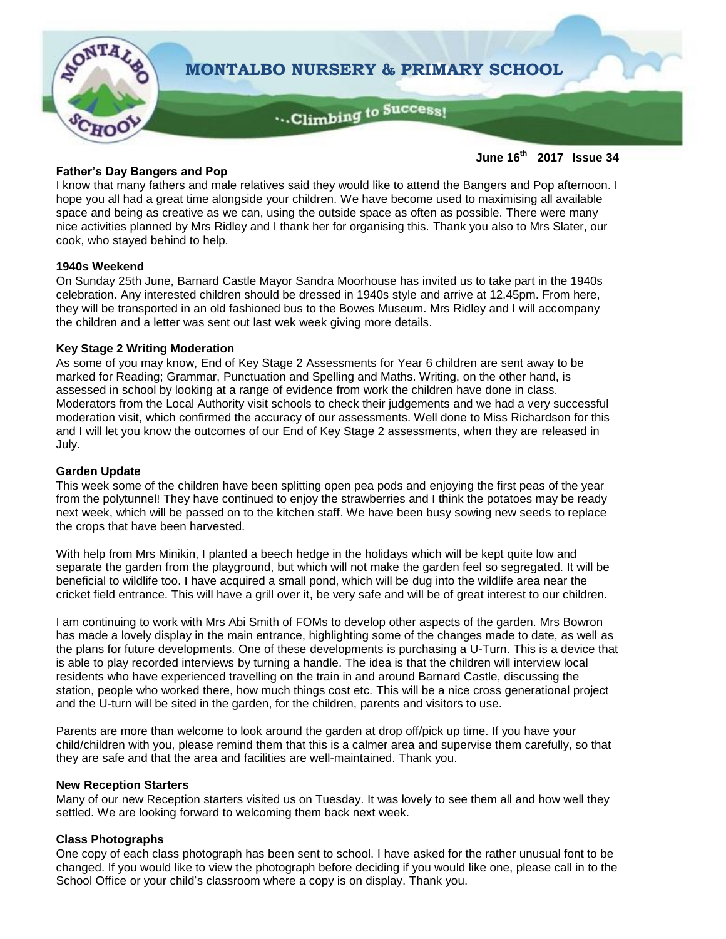

# **Father's Day Bangers and Pop**

**June 16th 2017 Issue 34**

I know that many fathers and male relatives said they would like to attend the Bangers and Pop afternoon. I hope you all had a great time alongside your children. We have become used to maximising all available space and being as creative as we can, using the outside space as often as possible. There were many nice activities planned by Mrs Ridley and I thank her for organising this. Thank you also to Mrs Slater, our cook, who stayed behind to help.

# **1940s Weekend**

On Sunday 25th June, Barnard Castle Mayor Sandra Moorhouse has invited us to take part in the 1940s celebration. Any interested children should be dressed in 1940s style and arrive at 12.45pm. From here, they will be transported in an old fashioned bus to the Bowes Museum. Mrs Ridley and I will accompany the children and a letter was sent out last wek week giving more details.

#### **Key Stage 2 Writing Moderation**

As some of you may know, End of Key Stage 2 Assessments for Year 6 children are sent away to be marked for Reading; Grammar, Punctuation and Spelling and Maths. Writing, on the other hand, is assessed in school by looking at a range of evidence from work the children have done in class. Moderators from the Local Authority visit schools to check their judgements and we had a very successful moderation visit, which confirmed the accuracy of our assessments. Well done to Miss Richardson for this and I will let you know the outcomes of our End of Key Stage 2 assessments, when they are released in July.

#### **Garden Update**

This week some of the children have been splitting open pea pods and enjoying the first peas of the year from the polytunnel! They have continued to enjoy the strawberries and I think the potatoes may be ready next week, which will be passed on to the kitchen staff. We have been busy sowing new seeds to replace the crops that have been harvested.

With help from Mrs Minikin, I planted a beech hedge in the holidays which will be kept quite low and separate the garden from the playground, but which will not make the garden feel so segregated. It will be beneficial to wildlife too. I have acquired a small pond, which will be dug into the wildlife area near the cricket field entrance. This will have a grill over it, be very safe and will be of great interest to our children.

I am continuing to work with Mrs Abi Smith of FOMs to develop other aspects of the garden. Mrs Bowron has made a lovely display in the main entrance, highlighting some of the changes made to date, as well as the plans for future developments. One of these developments is purchasing a U-Turn. This is a device that is able to play recorded interviews by turning a handle. The idea is that the children will interview local residents who have experienced travelling on the train in and around Barnard Castle, discussing the station, people who worked there, how much things cost etc. This will be a nice cross generational project and the U-turn will be sited in the garden, for the children, parents and visitors to use.

Parents are more than welcome to look around the garden at drop off/pick up time. If you have your child/children with you, please remind them that this is a calmer area and supervise them carefully, so that they are safe and that the area and facilities are well-maintained. Thank you.

#### **New Reception Starters**

Many of our new Reception starters visited us on Tuesday. It was lovely to see them all and how well they settled. We are looking forward to welcoming them back next week.

# **Class Photographs**

One copy of each class photograph has been sent to school. I have asked for the rather unusual font to be changed. If you would like to view the photograph before deciding if you would like one, please call in to the School Office or your child's classroom where a copy is on display. Thank you.